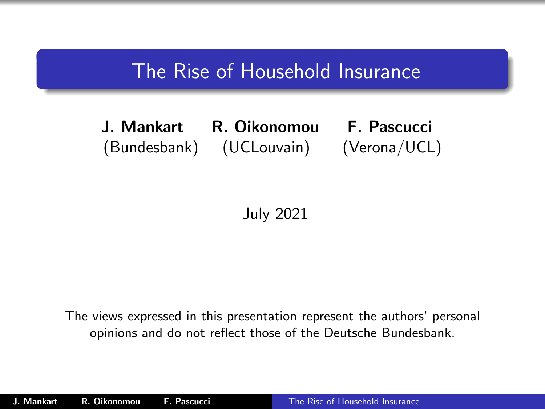### The Rise of Household Insurance

J. Mankart R. Oikonomou F. Pascucci (Bundesbank) (UCLouvain) (Verona/UCL)

<span id="page-0-0"></span>July 2021

The views expressed in this presentation represent the authors' personal opinions and do not reflect those of the Deutsche Bundesbank.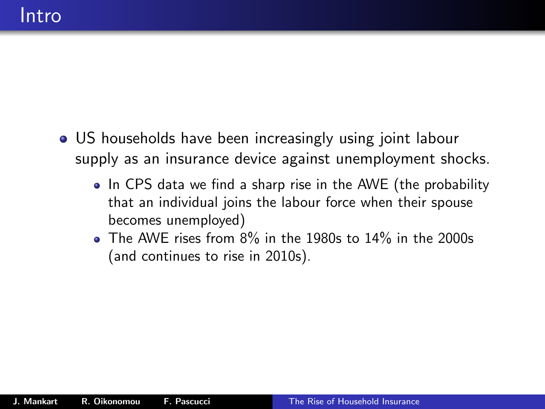- US households have been increasingly using joint labour supply as an insurance device against unemployment shocks.
	- In CPS data we find a sharp rise in the AWE (the probability that an individual joins the labour force when their spouse becomes unemployed)
	- The AWE rises from 8% in the 1980s to 14% in the 2000s (and continues to rise in 2010s).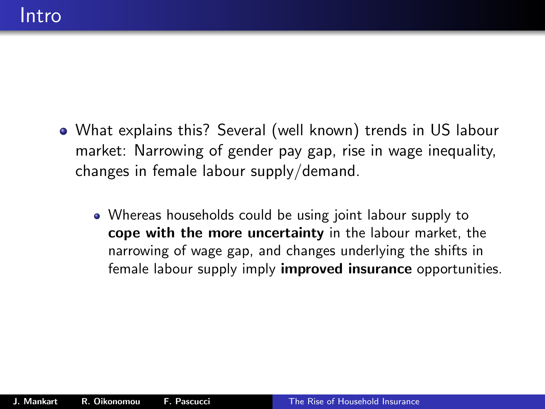- What explains this? Several (well known) trends in US labour market: Narrowing of gender pay gap, rise in wage inequality, changes in female labour supply/demand.
	- Whereas households could be using joint labour supply to cope with the more uncertainty in the labour market, the narrowing of wage gap, and changes underlying the shifts in female labour supply imply **improved insurance** opportunities.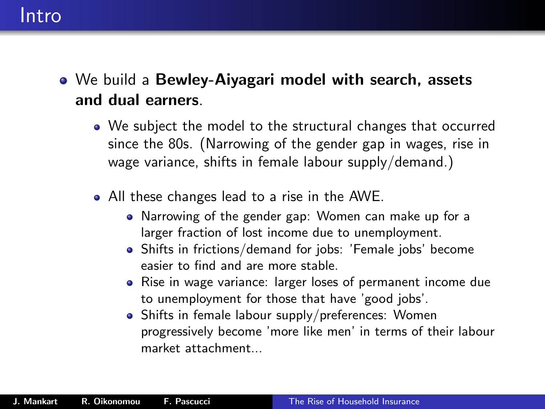### Intro

- We build a Bewley-Aiyagari model with search, assets and dual earners.
	- We subject the model to the structural changes that occurred since the 80s. (Narrowing of the gender gap in wages, rise in wage variance, shifts in female labour supply/demand.)
	- All these changes lead to a rise in the AWE.
		- Narrowing of the gender gap: Women can make up for a larger fraction of lost income due to unemployment.
		- Shifts in frictions/demand for jobs: 'Female jobs' become easier to find and are more stable.
		- Rise in wage variance: larger loses of permanent income due to unemployment for those that have 'good jobs'.
		- Shifts in female labour supply/preferences: Women progressively become 'more like men' in terms of their labour market attachment...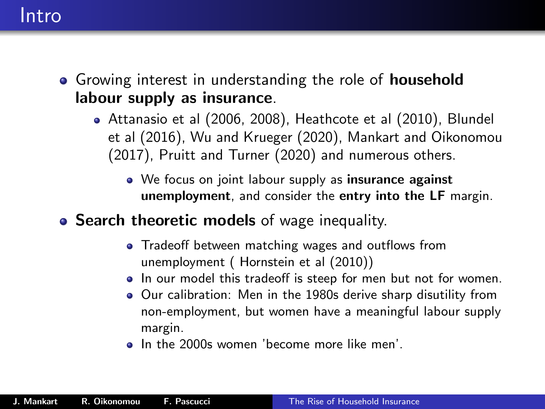### Intro

- Growing interest in understanding the role of **household** labour supply as insurance.
	- Attanasio et al (2006, 2008), Heathcote et al (2010), Blundel et al (2016), Wu and Krueger (2020), Mankart and Oikonomou (2017), Pruitt and Turner (2020) and numerous others.
		- We focus on joint labour supply as insurance against unemployment, and consider the entry into the LF margin.
- **Search theoretic models** of wage inequality.
	- Tradeoff between matching wages and outflows from unemployment ( Hornstein et al (2010))
	- In our model this tradeoff is steep for men but not for women.
	- Our calibration: Men in the 1980s derive sharp disutility from non-employment, but women have a meaningful labour supply margin.
	- In the 2000s women 'become more like men'.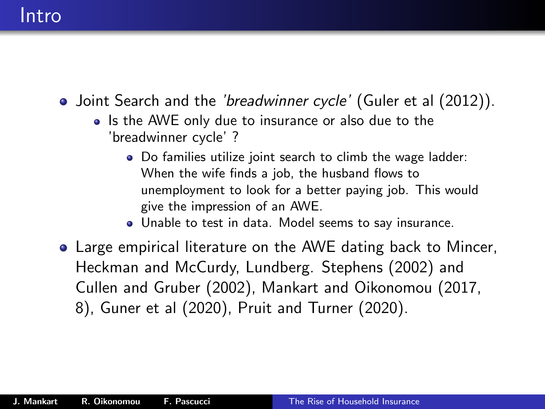### Intro

- Joint Search and the *'breadwinner cycle'* (Guler et al (2012)).
	- Is the AWE only due to insurance or also due to the 'breadwinner cycle' ?
		- Do families utilize joint search to climb the wage ladder: When the wife finds a job, the husband flows to unemployment to look for a better paying job. This would give the impression of an AWE.
		- Unable to test in data. Model seems to say insurance.
- Large empirical literature on the AWE dating back to Mincer, Heckman and McCurdy, Lundberg. Stephens (2002) and Cullen and Gruber (2002), Mankart and Oikonomou (2017, 8), Guner et al (2020), Pruit and Turner (2020).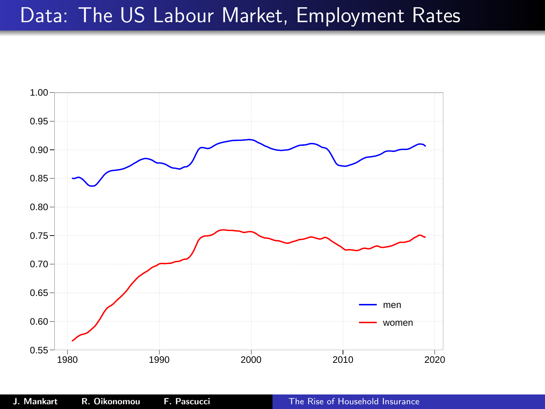### Data: The US Labour Market, Employment Rates

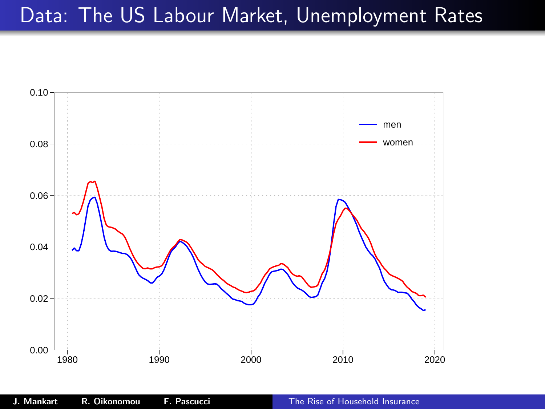## Data: The US Labour Market, Unemployment Rates

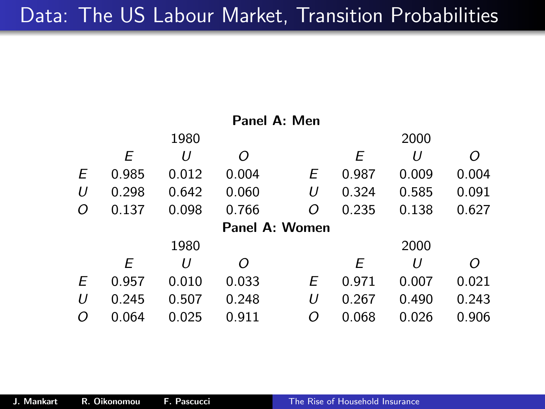| Panel A: Men |       |       |                |   |       |       |       |
|--------------|-------|-------|----------------|---|-------|-------|-------|
|              |       | 1980  |                |   |       | 2000  |       |
|              | Ε     | U     | Ω              |   | Е     | U     | Ω     |
| Ε            | 0.985 | 0.012 | 0.004          | Е | 0.987 | 0.009 | 0.004 |
| U            | 0.298 | 0.642 | 0.060          | U | 0.324 | 0.585 | 0.091 |
| 0            | 0.137 | 0.098 | 0.766          | Ο | 0.235 | 0.138 | 0.627 |
|              |       |       | Panel A: Women |   |       |       |       |
|              |       | 1980  |                |   |       | 2000  |       |
|              | Е     | U     | Ω              |   | Е     | U     |       |
| Ε            | 0.957 | 0.010 | 0.033          | Е | 0.971 | 0.007 | 0.021 |
| U            | 0.245 | 0.507 | 0.248          | U | 0.267 | 0.490 | 0.243 |
| O            | 0.064 | 0.025 | 0.911          | Ο | 0.068 | 0.026 | 0.906 |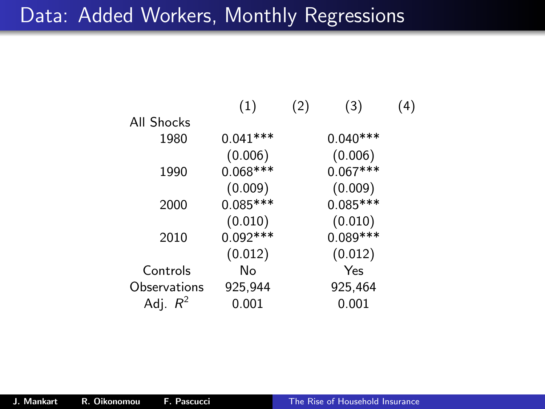### Data: Added Workers, Monthly Regressions

|              | (1)        | (2) | (3)        | (4) |
|--------------|------------|-----|------------|-----|
| All Shocks   |            |     |            |     |
| 1980         | $0.041***$ |     | $0.040***$ |     |
|              | (0.006)    |     | (0.006)    |     |
| 1990         | $0.068***$ |     | $0.067***$ |     |
|              | (0.009)    |     | (0.009)    |     |
| 2000         | $0.085***$ |     | $0.085***$ |     |
|              | (0.010)    |     | (0.010)    |     |
| 2010         | $0.092***$ |     | 0.089***   |     |
|              | (0.012)    |     | (0.012)    |     |
| Controls     | No         |     | Yes        |     |
| Observations | 925,944    |     | 925,464    |     |
| Adj. $R^2$   | 0.001      |     | $0.001\,$  |     |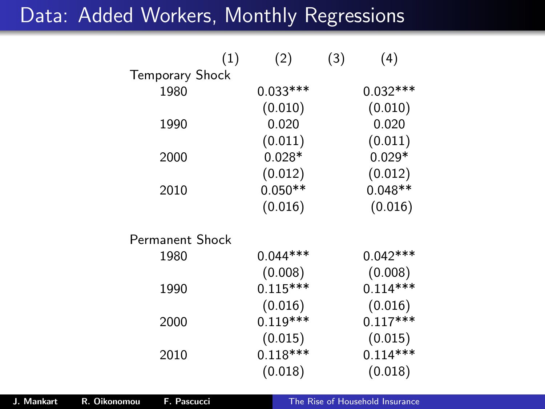## Data: Added Workers, Monthly Regressions

|                        | (1) | (2)        | (3) | (4)        |
|------------------------|-----|------------|-----|------------|
| <b>Temporary Shock</b> |     |            |     |            |
| 1980                   |     | $0.033***$ |     | $0.032***$ |
|                        |     | (0.010)    |     | (0.010)    |
| 1990                   |     | 0.020      |     | 0.020      |
|                        |     | (0.011)    |     | (0.011)    |
| 2000                   |     | $0.028*$   |     | $0.029*$   |
|                        |     | (0.012)    |     | (0.012)    |
| 2010                   |     | $0.050**$  |     | $0.048**$  |
|                        |     | (0.016)    |     | (0.016)    |
| Permanent Shock        |     |            |     |            |
| 1980                   |     | $0.044***$ |     | $0.042***$ |
|                        |     | (0.008)    |     | (0.008)    |
| 1990                   |     | $0.115***$ |     | $0.114***$ |
|                        |     | (0.016)    |     | (0.016)    |
| 2000                   |     | $0.119***$ |     | $0.117***$ |
|                        |     | (0.015)    |     | (0.015)    |
| 2010                   |     | $0.118***$ |     | $0.114***$ |
|                        |     | (0.018)    |     | (0.018)    |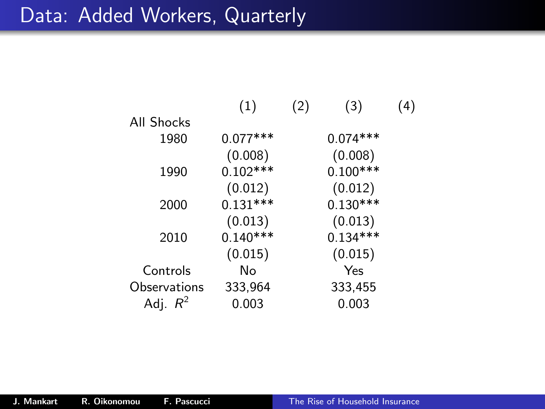## Data: Added Workers, Quarterly

|              | (1)        | (2) | (3)        | 4) |
|--------------|------------|-----|------------|----|
| All Shocks   |            |     |            |    |
| 1980         | $0.077***$ |     | $0.074***$ |    |
|              | (0.008)    |     | (0.008)    |    |
| 1990         | $0.102***$ |     | $0.100***$ |    |
|              | (0.012)    |     | (0.012)    |    |
| 2000         | $0.131***$ |     | $0.130***$ |    |
|              | (0.013)    |     | (0.013)    |    |
| 2010         | $0.140***$ |     | $0.134***$ |    |
|              | (0.015)    |     | (0.015)    |    |
| Controls     | No         |     | Yes        |    |
| Observations | 333,964    |     | 333,455    |    |
| Adj. $R^2$   | 0.003      |     | 0.003      |    |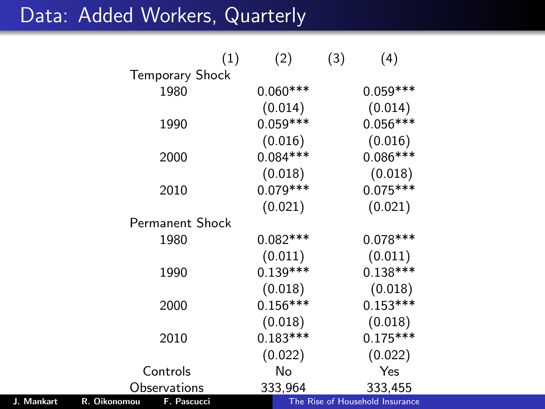## Data: Added Workers, Quarterly

|            |              |                        | (1) | (2)        | (3) | (4)                             |  |
|------------|--------------|------------------------|-----|------------|-----|---------------------------------|--|
|            |              | <b>Temporary Shock</b> |     |            |     |                                 |  |
|            |              | 1980                   |     | $0.060***$ |     | $0.059***$                      |  |
|            |              |                        |     | (0.014)    |     | (0.014)                         |  |
|            |              | 1990                   |     | $0.059***$ |     | $0.056***$                      |  |
|            |              |                        |     | (0.016)    |     | (0.016)                         |  |
|            |              | 2000                   |     | $0.084***$ |     | $0.086***$                      |  |
|            |              |                        |     | (0.018)    |     | (0.018)                         |  |
|            |              | 2010                   |     | $0.079***$ |     | $0.075***$                      |  |
|            |              |                        |     | (0.021)    |     | (0.021)                         |  |
|            |              | <b>Permanent Shock</b> |     |            |     |                                 |  |
|            |              | 1980                   |     | $0.082***$ |     | $0.078***$                      |  |
|            |              |                        |     | (0.011)    |     | (0.011)                         |  |
|            |              | 1990                   |     | $0.139***$ |     | $0.138***$                      |  |
|            |              |                        |     | (0.018)    |     | (0.018)                         |  |
|            |              | 2000                   |     | $0.156***$ |     | $0.153***$                      |  |
|            |              |                        |     | (0.018)    |     | (0.018)                         |  |
|            |              | 2010                   |     | $0.183***$ |     | $0.175***$                      |  |
|            |              |                        |     | (0.022)    |     | (0.022)                         |  |
|            |              | Controls               |     | No         |     | Yes                             |  |
|            |              | Observations           |     | 333,964    |     | 333,455                         |  |
| J. Mankart | R. Oikonomou | F. Pascucci            |     |            |     | The Rise of Household Insurance |  |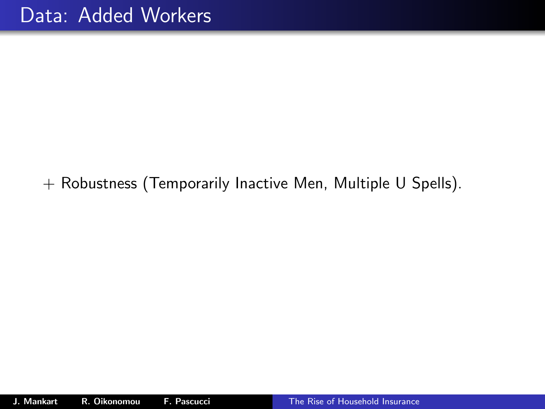### + Robustness (Temporarily Inactive Men, Multiple U Spells).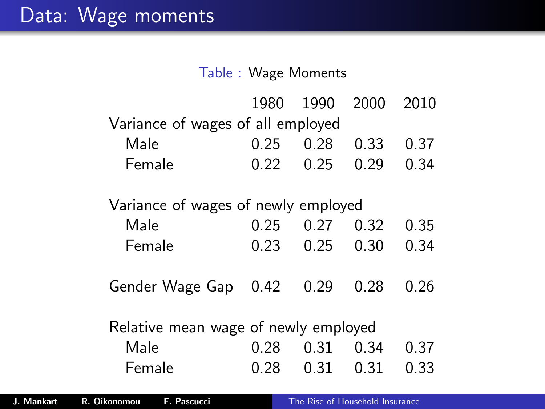#### Table : Wage Moments

|                                     | 1980                                 | 1990 | 2000 | 2010 |  |  |  |
|-------------------------------------|--------------------------------------|------|------|------|--|--|--|
| Variance of wages of all employed   |                                      |      |      |      |  |  |  |
| Male                                | 0.25                                 | 0.28 | 0.33 | 0.37 |  |  |  |
| Female                              | 0.22                                 | 0.25 | 0.29 | 0.34 |  |  |  |
| Variance of wages of newly employed |                                      |      |      |      |  |  |  |
| Male                                | 0.25                                 | 0.27 | 0.32 | 0.35 |  |  |  |
| Female                              | 0.23                                 | 0.25 | 0.30 | 0.34 |  |  |  |
| Gender Wage Gap                     | 0.42                                 | 0.29 | 0.28 | 0.26 |  |  |  |
|                                     | Relative mean wage of newly employed |      |      |      |  |  |  |
| Male                                | 0.28                                 | 0.31 | 0.34 | 0.37 |  |  |  |
| Female                              | 0.28                                 | 0.31 | 0.31 | 0.33 |  |  |  |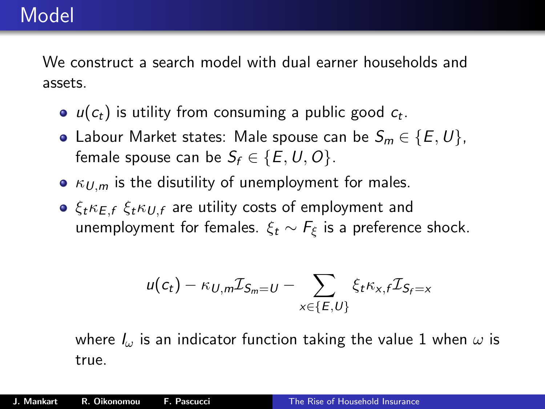## Model

We construct a search model with dual earner households and assets.

- $u(c_t)$  is utility from consuming a public good  $c_t$ .
- Labour Market states: Male spouse can be  $S_m \in \{E, U\}$ , female spouse can be  $S_f \in \{E, U, O\}$ .
- $\kappa_{U,m}$  is the disutility of unemployment for males.
- $\bullet$   $\xi_t \kappa_{E,f} \xi_t \kappa_{U,f}$  are utility costs of employment and unemployment for females.  $\xi_t \sim F_{\xi}$  is a preference shock.

$$
u(c_t) - \kappa_{U,m} \mathcal{I}_{S_m = U} - \sum_{x \in \{E,U\}} \xi_t \kappa_{x,f} \mathcal{I}_{S_f = x}
$$

where  $I_{\omega}$  is an indicator function taking the value 1 when  $\omega$  is true.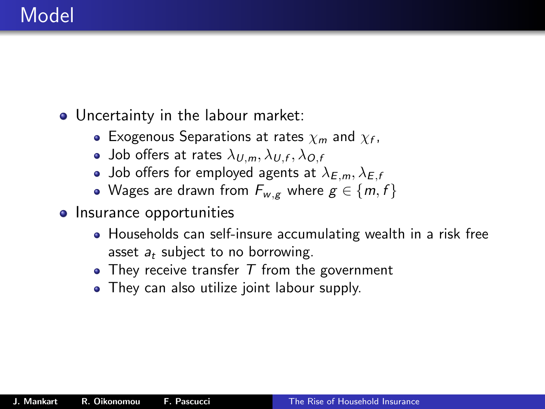## Model

• Uncertainty in the labour market:

- Exogenous Separations at rates  $\chi_m$  and  $\chi_f$ ,
- Job offers at rates  $\lambda_{U,m}, \lambda_{U,f}, \lambda_{O,f}$
- Job offers for employed agents at  $\lambda_{E,m}, \lambda_{E,f}$
- Wages are drawn from  $F_{w,g}$  where  $g \in \{m, f\}$
- Insurance opportunities
	- Households can self-insure accumulating wealth in a risk free asset  $a_t$  subject to no borrowing.
	- $\bullet$  They receive transfer  $T$  from the government
	- They can also utilize joint labour supply.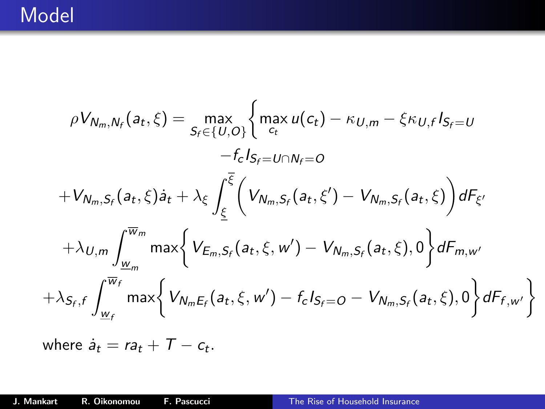$$
\rho V_{N_m,N_f}(a_t,\xi) = \max_{S_f \in \{U,O\}} \left\{ \max_{c_t} u(c_t) - \kappa_{U,m} - \xi \kappa_{U,f} I_{S_f=U} -f_c I_{S_f=U \cap N_f=0} -f_c I_{S_f=U \cap N_f=0} \right\}
$$

$$
+V_{N_m,S_f}(a_t,\xi) a_t + \lambda_{\xi} \int_{\underline{\xi}}^{\overline{\xi}} \left( V_{N_m,S_f}(a_t,\xi') - V_{N_m,S_f}(a_t,\xi) \right) dF_{\xi'}
$$

$$
+ \lambda_{U,m} \int_{\underline{w}_m}^{\overline{w}_m} \max \left\{ V_{E_m,S_f}(a_t,\xi,w') - V_{N_m,S_f}(a_t,\xi),0 \right\} dF_{m,w'}
$$

$$
+ \lambda_{S_f,f} \int_{\underline{w}_f}^{\overline{w}_f} \max \left\{ V_{N_mE_f}(a_t,\xi,w') - f_c I_{S_f=O} - V_{N_m,S_f}(a_t,\xi),0 \right\} dF_{f,w'} \right\}
$$

where  $\dot{a}_t = ra_t + T - c_t$ .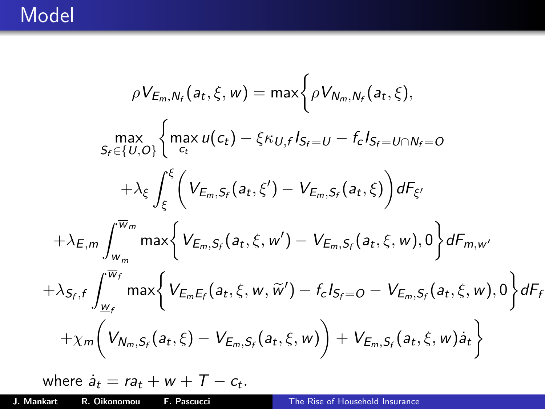## Model

$$
\rho V_{E_{m},N_{f}}(a_{t}, \xi, w) = \max \left\{ \rho V_{N_{m},N_{f}}(a_{t}, \xi), \sum_{S_{f} \in \{U, O\}} \left\{ \max_{c_{t}} u(c_{t}) - \xi \kappa_{U,f} I_{S_{f} = U} - f_{c} I_{S_{f} = U \cap N_{f} = 0} \right.\right.\left. + \lambda_{\xi} \int_{\underline{\xi}} \left( V_{E_{m},S_{f}}(a_{t}, \xi') - V_{E_{m},S_{f}}(a_{t}, \xi) \right) dF_{\xi'} \right.\left. + \lambda_{E,m} \int_{\underline{w}_{m}}^{\overline{w}_{m}} \max \left\{ V_{E_{m},S_{f}}(a_{t}, \xi, w') - V_{E_{m},S_{f}}(a_{t}, \xi, w), 0 \right\} dF_{m,w'} \right.\left. + \lambda_{S_{f},f} \int_{\underline{w}_{f}}^{\overline{w}_{f}} \max \left\{ V_{E_{m}E_{f}}(a_{t}, \xi, w, \widetilde{w}') - f_{c} I_{S_{f} = 0} - V_{E_{m},S_{f}}(a_{t}, \xi, w), 0 \right\} dF_{f} \right.\left. + \chi_{m} \left( V_{N_{m},S_{f}}(a_{t}, \xi) - V_{E_{m},S_{f}}(a_{t}, \xi, w) \right) + V_{E_{m},S_{f}}(a_{t}, \xi, w) \dot{a}_{t} \right\}
$$

where 
$$
\dot{a}_t = ra_t + w + T - c_t
$$
.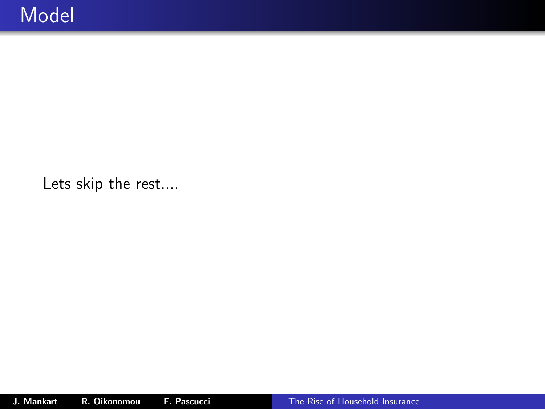Lets skip the rest....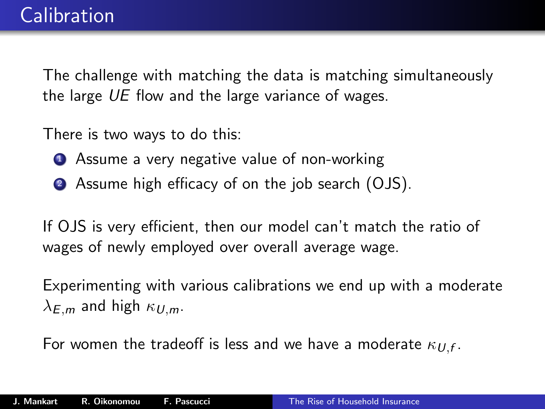The challenge with matching the data is matching simultaneously the large UE flow and the large variance of wages.

There is two ways to do this:

- **1** Assume a very negative value of non-working
- <sup>2</sup> Assume high efficacy of on the job search (OJS).

If OJS is very efficient, then our model can't match the ratio of wages of newly employed over overall average wage.

Experimenting with various calibrations we end up with a moderate  $\lambda_F$ <sub>m</sub> and high  $\kappa_{U,m}$ .

For women the tradeoff is less and we have a moderate  $\kappa_{U,f}.$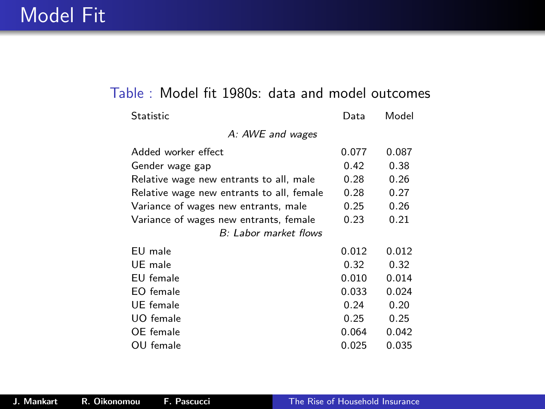#### Table : Model fit 1980s: data and model outcomes

| <b>Statistic</b>                          | Data  | Model |
|-------------------------------------------|-------|-------|
| A: AWE and wages                          |       |       |
| Added worker effect                       | 0.077 | 0.087 |
| Gender wage gap                           | 0.42  | 0.38  |
| Relative wage new entrants to all, male   | 0.28  | 0.26  |
| Relative wage new entrants to all, female | 0.28  | 0.27  |
| Variance of wages new entrants, male      | 0.25  | 0.26  |
| Variance of wages new entrants, female    | 0.23  | 0.21  |
| B: Labor market flows                     |       |       |
| EU male                                   | 0.012 | 0.012 |
| UE male                                   | 0.32  | 0.32  |
| EU female                                 | 0.010 | 0.014 |
| EO female                                 | 0.033 | 0.024 |
| UE female                                 | 0.24  | 0.20  |
| UO female                                 | 0.25  | 0.25  |
| OE female                                 | 0.064 | 0.042 |
| OU female                                 | 0.025 | 0.035 |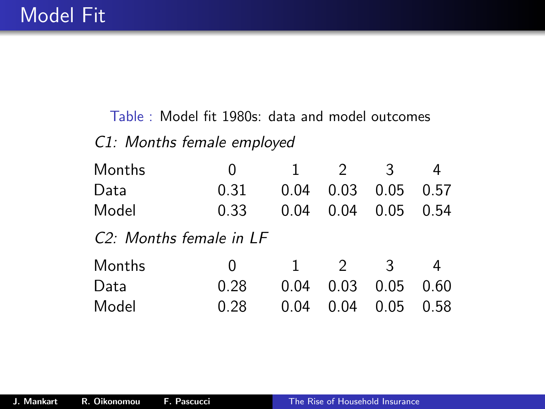### Table : Model fit 1980s: data and model outcomes C1: Months female employed

| Months                               | 0    | -1           | 2             | 3    |      |  |
|--------------------------------------|------|--------------|---------------|------|------|--|
| Data                                 | 0.31 | 0.04         | 0.03          | 0.05 | 0.57 |  |
| Model                                | 0.33 | 0.04         | 0.04          | 0.05 | 0.54 |  |
| C <sub>2</sub> : Months female in LF |      |              |               |      |      |  |
| Months                               | 0    | $\mathbf{1}$ | $\mathcal{D}$ | २    |      |  |
| Data                                 | 0.28 | 0.04         | 0.03          | 0.05 | 0.60 |  |
| Model                                | 0.28 | 0.04         | 0.04          | 0.05 | 0.58 |  |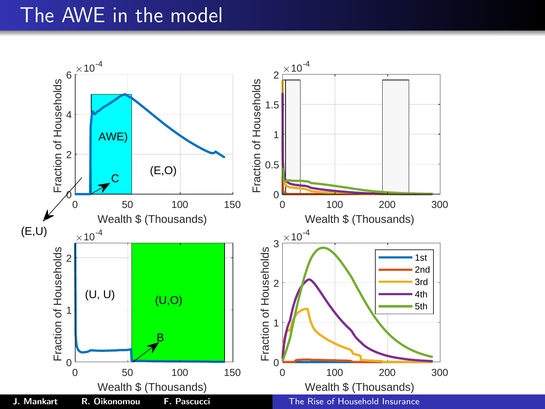### The AWE in the model

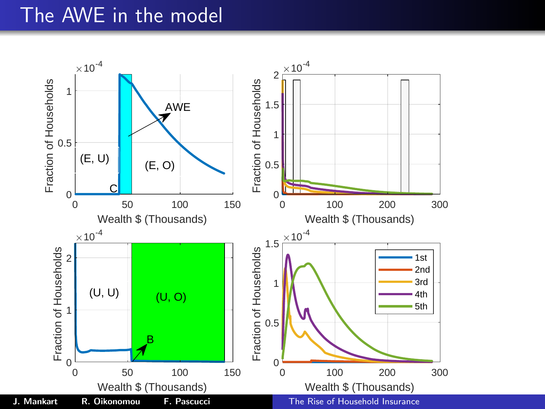### The AWE in the model

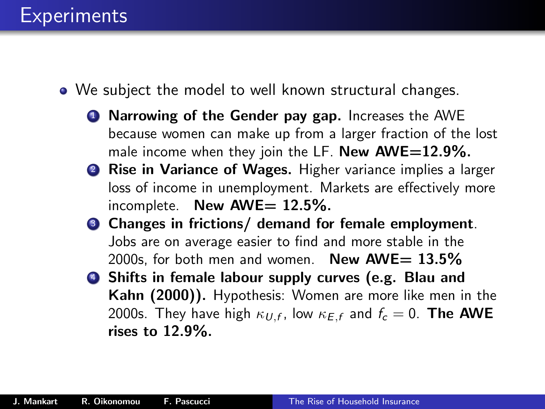- We subject the model to well known structural changes.
	- **1** Narrowing of the Gender pay gap. Increases the AWE because women can make up from a larger fraction of the lost male income when they join the LF. New  $AWE=12.9\%$ .
	- **2 Rise in Variance of Wages.** Higher variance implies a larger loss of income in unemployment. Markets are effectively more incomplete. New  $\text{AWE}= 12.5\%$ .
	- <sup>3</sup> Changes in frictions/ demand for female employment. Jobs are on average easier to find and more stable in the 2000s, for both men and women. New  $AWE= 13.5\%$
	- <sup>4</sup> Shifts in female labour supply curves (e.g. Blau and Kahn (2000)). Hypothesis: Women are more like men in the 2000s. They have high  $\kappa_{U,f}$ , low  $\kappa_{E,f}$  and  $f_c=0.$  The AWE rises to 12.9%.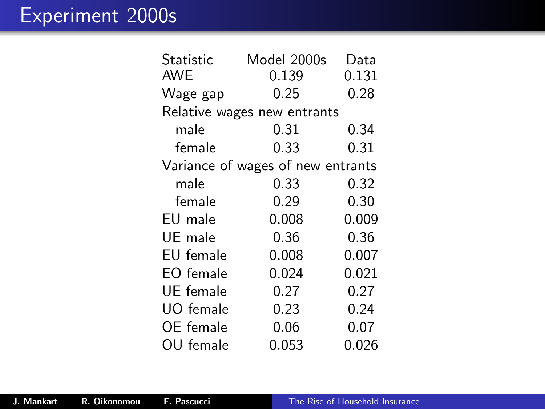| Statistic<br>AWE                  | Model 2000s<br>0.139        | Data<br>0.131 |  |  |  |
|-----------------------------------|-----------------------------|---------------|--|--|--|
| Wage gap                          | 0.25                        | 0.28          |  |  |  |
|                                   | Relative wages new entrants |               |  |  |  |
| male                              | 0.31                        | 0.34          |  |  |  |
| female                            | 0.33                        | 0.31          |  |  |  |
| Variance of wages of new entrants |                             |               |  |  |  |
| male                              | 0.33                        | 0.32          |  |  |  |
| female                            | 0.29                        | 0.30          |  |  |  |
| EU male                           | 0.008                       | 0.009         |  |  |  |
| UE male                           | 0.36                        | 0.36          |  |  |  |
| EU female                         | 0.008                       | 0.007         |  |  |  |
| EO female                         | 0.024                       | 0.021         |  |  |  |
| UE female                         | 0.27                        | 0.27          |  |  |  |
| UO female                         | 0.23                        | 0.24          |  |  |  |
| OE female                         | 0.06                        | 0.07          |  |  |  |
| OU female                         | 0.053                       | 0.026         |  |  |  |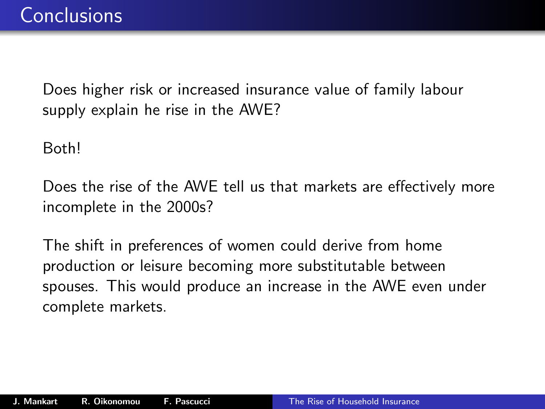Does higher risk or increased insurance value of family labour supply explain he rise in the AWE?

Both!

Does the rise of the AWE tell us that markets are effectively more incomplete in the 2000s?

The shift in preferences of women could derive from home production or leisure becoming more substitutable between spouses. This would produce an increase in the AWE even under complete markets.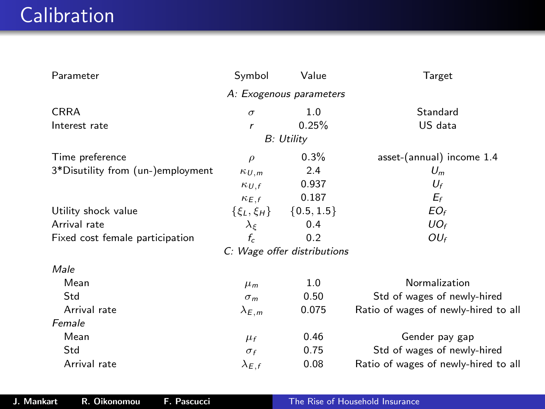# **Calibration**

| Parameter                         | Symbol                  | Value                       | Target                               |
|-----------------------------------|-------------------------|-----------------------------|--------------------------------------|
|                                   |                         | A: Exogenous parameters     |                                      |
| <b>CRRA</b>                       | $\sigma$                | 1.0                         | Standard                             |
| Interest rate                     | r                       | 0.25%                       | US data                              |
|                                   |                         | B: Utility                  |                                      |
| Time preference                   | $\rho$                  | $0.3\%$                     | asset-(annual) income 1.4            |
| 3*Disutility from (un-)employment | $\kappa_{U,m}$          | 2.4                         | $U_m$                                |
|                                   | $\kappa_{U,f}$          | 0.937                       | $U_f$                                |
|                                   | $\kappa_{E,f}$          | 0.187                       | $E_f$                                |
| Utility shock value               | $\{\xi_L,\xi_H\}$       | $\{0.5, 1.5\}$              | $EO_f$                               |
| Arrival rate                      | $\lambda_{\varepsilon}$ | 0.4                         | UO <sub>f</sub>                      |
| Fixed cost female participation   | $f_c$                   | 0.2                         | $OU_f$                               |
|                                   |                         | C: Wage offer distributions |                                      |
| Male                              |                         |                             |                                      |
| Mean                              | $\mu_m$                 | 1.0                         | Normalization                        |
| Std                               | $\sigma_m$              | 0.50                        | Std of wages of newly-hired          |
| Arrival rate                      | $\lambda_{E,m}$         | 0.075                       | Ratio of wages of newly-hired to all |
| Female                            |                         |                             |                                      |
| Mean                              | $\mu_f$                 | 0.46                        | Gender pay gap                       |
| Std                               | $\sigma_f$              | 0.75                        | Std of wages of newly-hired          |
| Arrival rate                      | $\lambda_{E,f}$         | 0.08                        | Ratio of wages of newly-hired to all |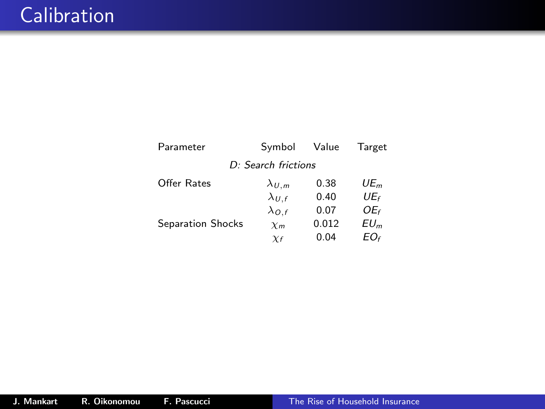| Parameter         | Symbol              | Value | Target          |
|-------------------|---------------------|-------|-----------------|
|                   | D: Search frictions |       |                 |
| Offer Rates       | $\lambda_{U,m}$     | 0.38  | UE              |
|                   | $\lambda_{U,f}$     | 0.40  | $UE_f$          |
|                   | $\lambda_{O,f}$     | 0.07  | OE <sub>f</sub> |
| Separation Shocks | $\chi_m$            | 0.012 | $EU_m$          |
|                   | $\chi_f$            | 0.04  | EO <sub>f</sub> |